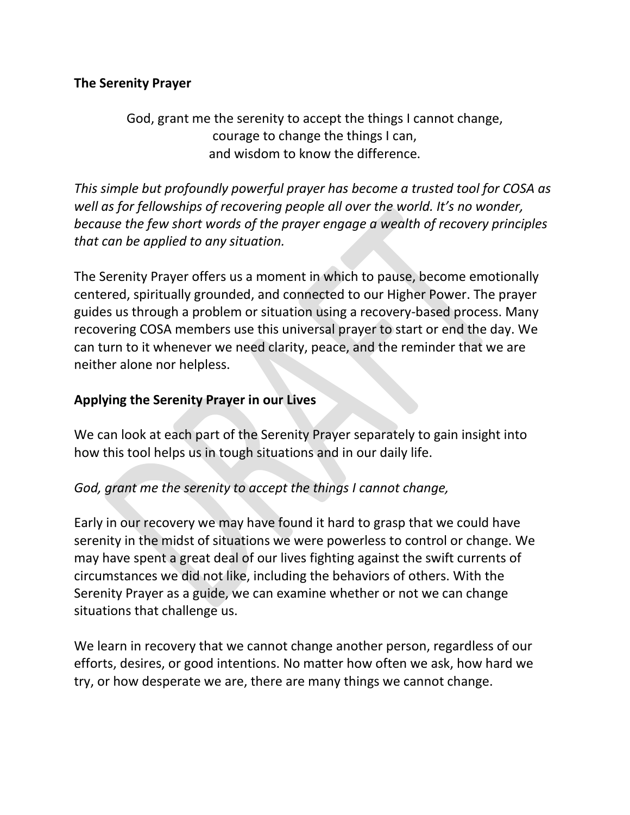# **The Serenity Prayer**

God, grant me the serenity to accept the things I cannot change, courage to change the things I can, and wisdom to know the difference.

*This simple but profoundly powerful prayer has become a trusted tool for COSA as well as for fellowships of recovering people all over the world. It's no wonder, because the few short words of the prayer engage a wealth of recovery principles that can be applied to any situation.*

The Serenity Prayer offers us a moment in which to pause, become emotionally centered, spiritually grounded, and connected to our Higher Power. The prayer guides us through a problem or situation using a recovery-based process. Many recovering COSA members use this universal prayer to start or end the day. We can turn to it whenever we need clarity, peace, and the reminder that we are neither alone nor helpless.

### **Applying the Serenity Prayer in our Lives**

We can look at each part of the Serenity Prayer separately to gain insight into how this tool helps us in tough situations and in our daily life.

## *God, grant me the serenity to accept the things I cannot change,*

Early in our recovery we may have found it hard to grasp that we could have serenity in the midst of situations we were powerless to control or change. We may have spent a great deal of our lives fighting against the swift currents of circumstances we did not like, including the behaviors of others. With the Serenity Prayer as a guide, we can examine whether or not we can change situations that challenge us.

We learn in recovery that we cannot change another person, regardless of our efforts, desires, or good intentions. No matter how often we ask, how hard we try, or how desperate we are, there are many things we cannot change.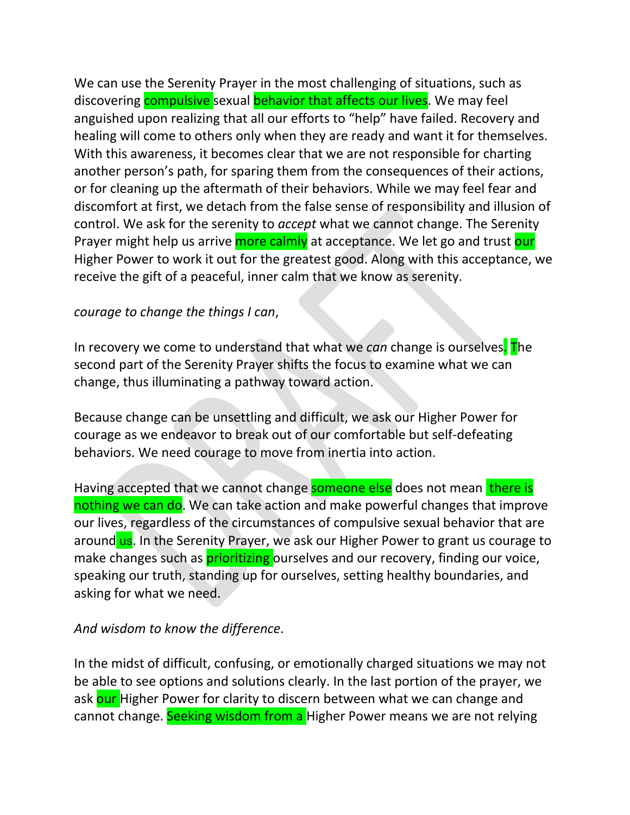We can use the Serenity Prayer in the most challenging of situations, such as discovering **compulsive** sexual **behavior that affects our lives**. We may feel anguished upon realizing that all our efforts to "help" have failed. Recovery and healing will come to others only when they are ready and want it for themselves. With this awareness, it becomes clear that we are not responsible for charting another person's path, for sparing them from the consequences of their actions, or for cleaning up the aftermath of their behaviors. While we may feel fear and discomfort at first, we detach from the false sense of responsibility and illusion of control. We ask for the serenity to *accept* what we cannot change. The Serenity Prayer might help us arrive more calmly at acceptance. We let go and trust our Higher Power to work it out for the greatest good. Along with this acceptance, we receive the gift of a peaceful, inner calm that we know as serenity.

#### *courage to change the things I can*,

In recovery we come to understand that what we *can* change is ourselves. The second part of the Serenity Prayer shifts the focus to examine what we can change, thus illuminating a pathway toward action.

Because change can be unsettling and difficult, we ask our Higher Power for courage as we endeavor to break out of our comfortable but self-defeating behaviors. We need courage to move from inertia into action.

Having accepted that we cannot change someone else does not mean there is nothing we can do. We can take action and make powerful changes that improve our lives, regardless of the circumstances of compulsive sexual behavior that are around us. In the Serenity Prayer, we ask our Higher Power to grant us courage to make changes such as **prioritizing** ourselves and our recovery, finding our voice, speaking our truth, standing up for ourselves, setting healthy boundaries, and asking for what we need.

#### *And wisdom to know the difference*.

In the midst of difficult, confusing, or emotionally charged situations we may not be able to see options and solutions clearly. In the last portion of the prayer, we ask our Higher Power for clarity to discern between what we can change and cannot change. Seeking wisdom from a Higher Power means we are not relying